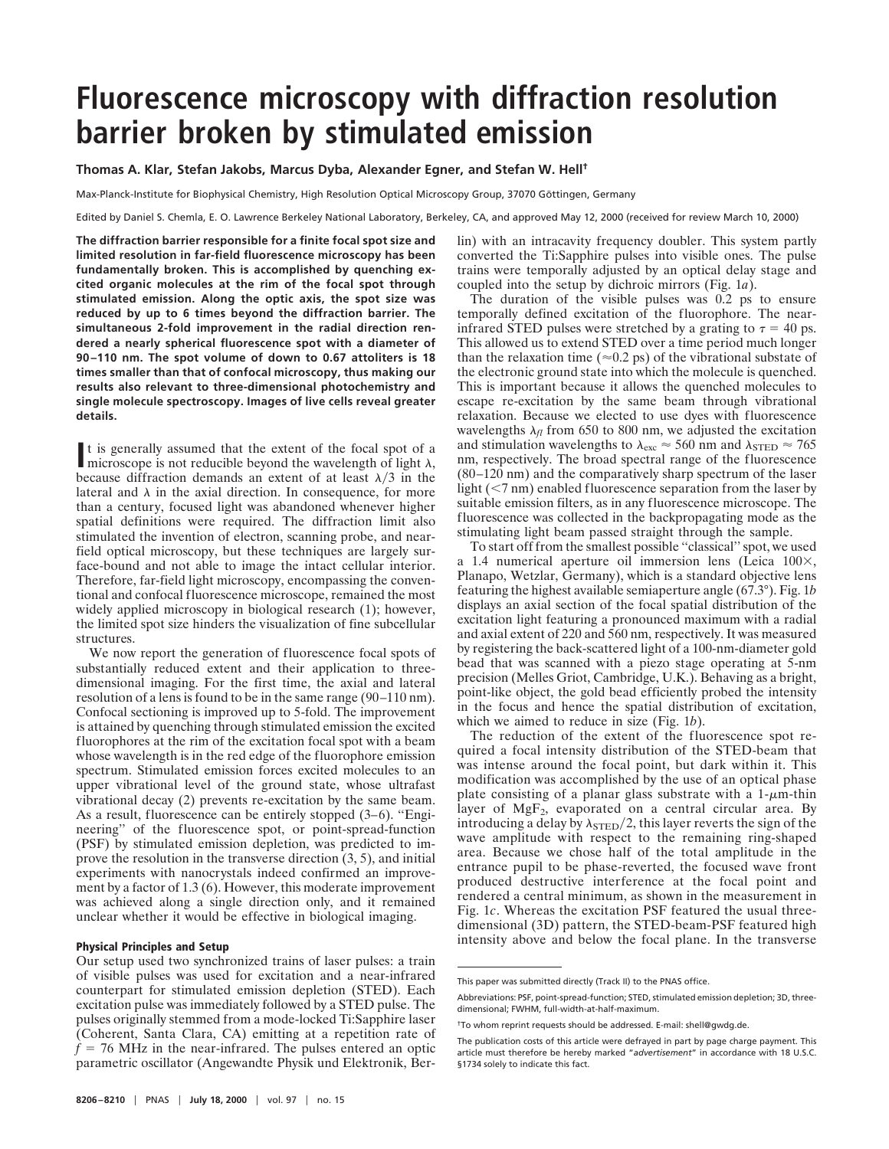## **Fluorescence microscopy with diffraction resolution barrier broken by stimulated emission**

**Thomas A. Klar, Stefan Jakobs, Marcus Dyba, Alexander Egner, and Stefan W. Hell†**

Max-Planck-Institute for Biophysical Chemistry, High Resolution Optical Microscopy Group, 37070 Göttingen, Germany

Edited by Daniel S. Chemla, E. O. Lawrence Berkeley National Laboratory, Berkeley, CA, and approved May 12, 2000 (received for review March 10, 2000)

**The diffraction barrier responsible for a finite focal spot size and limited resolution in far-field fluorescence microscopy has been fundamentally broken. This is accomplished by quenching excited organic molecules at the rim of the focal spot through stimulated emission. Along the optic axis, the spot size was reduced by up to 6 times beyond the diffraction barrier. The simultaneous 2-fold improvement in the radial direction rendered a nearly spherical fluorescence spot with a diameter of 90–110 nm. The spot volume of down to 0.67 attoliters is 18 times smaller than that of confocal microscopy, thus making our results also relevant to three-dimensional photochemistry and single molecule spectroscopy. Images of live cells reveal greater details.**

It is generally assumed that the extent of the focal spot of a microscope is not reducible beyond the wavelength of light  $\lambda$ , microscope is not reducible beyond the wavelength of light  $\lambda$ , because diffraction demands an extent of at least  $\lambda/3$  in the lateral and  $\lambda$  in the axial direction. In consequence, for more than a century, focused light was abandoned whenever higher spatial definitions were required. The diffraction limit also stimulated the invention of electron, scanning probe, and nearfield optical microscopy, but these techniques are largely surface-bound and not able to image the intact cellular interior. Therefore, far-field light microscopy, encompassing the conventional and confocal fluorescence microscope, remained the most widely applied microscopy in biological research (1); however, the limited spot size hinders the visualization of fine subcellular structures.

We now report the generation of fluorescence focal spots of substantially reduced extent and their application to threedimensional imaging. For the first time, the axial and lateral resolution of a lens is found to be in the same range (90–110 nm). Confocal sectioning is improved up to 5-fold. The improvement is attained by quenching through stimulated emission the excited fluorophores at the rim of the excitation focal spot with a beam whose wavelength is in the red edge of the fluorophore emission spectrum. Stimulated emission forces excited molecules to an upper vibrational level of the ground state, whose ultrafast vibrational decay (2) prevents re-excitation by the same beam. As a result, fluorescence can be entirely stopped (3–6). ''Engineering'' of the fluorescence spot, or point-spread-function (PSF) by stimulated emission depletion, was predicted to improve the resolution in the transverse direction (3, 5), and initial experiments with nanocrystals indeed confirmed an improvement by a factor of 1.3 (6). However, this moderate improvement was achieved along a single direction only, and it remained unclear whether it would be effective in biological imaging.

## **Physical Principles and Setup**

Our setup used two synchronized trains of laser pulses: a train of visible pulses was used for excitation and a near-infrared counterpart for stimulated emission depletion (STED). Each excitation pulse was immediately followed by a STED pulse. The pulses originally stemmed from a mode-locked Ti:Sapphire laser (Coherent, Santa Clara, CA) emitting at a repetition rate of  $f = 76$  MHz in the near-infrared. The pulses entered an optic parametric oscillator (Angewandte Physik und Elektronik, Berlin) with an intracavity frequency doubler. This system partly converted the Ti:Sapphire pulses into visible ones. The pulse trains were temporally adjusted by an optical delay stage and coupled into the setup by dichroic mirrors (Fig. 1*a*).

The duration of the visible pulses was 0.2 ps to ensure temporally defined excitation of the fluorophore. The nearinfrared STED pulses were stretched by a grating to  $\tau = 40$  ps. This allowed us to extend STED over a time period much longer than the relaxation time ( $\approx$ 0.2 ps) of the vibrational substate of the electronic ground state into which the molecule is quenched. This is important because it allows the quenched molecules to escape re-excitation by the same beam through vibrational relaxation. Because we elected to use dyes with fluorescence wavelengths  $\lambda_{fl}$  from 650 to 800 nm, we adjusted the excitation and stimulation wavelengths to  $\lambda_{\rm exc} \approx 560$  nm and  $\lambda_{\rm STED} \approx 765$ nm, respectively. The broad spectral range of the fluorescence (80–120 nm) and the comparatively sharp spectrum of the laser light  $(< 7 \text{ nm})$  enabled fluorescence separation from the laser by suitable emission filters, as in any fluorescence microscope. The fluorescence was collected in the backpropagating mode as the stimulating light beam passed straight through the sample.

To start off from the smallest possible ''classical'' spot, we used a 1.4 numerical aperture oil immersion lens (Leica  $100\times$ , Planapo, Wetzlar, Germany), which is a standard objective lens featuring the highest available semiaperture angle (67.3°). Fig. 1*b* displays an axial section of the focal spatial distribution of the excitation light featuring a pronounced maximum with a radial and axial extent of 220 and 560 nm, respectively. It was measured by registering the back-scattered light of a 100-nm-diameter gold bead that was scanned with a piezo stage operating at 5-nm precision (Melles Griot, Cambridge, U.K.). Behaving as a bright, point-like object, the gold bead efficiently probed the intensity in the focus and hence the spatial distribution of excitation, which we aimed to reduce in size (Fig. 1*b*).

The reduction of the extent of the fluorescence spot required a focal intensity distribution of the STED-beam that was intense around the focal point, but dark within it. This modification was accomplished by the use of an optical phase plate consisting of a planar glass substrate with a  $1-\mu m$ -thin layer of  $MgF_2$ , evaporated on a central circular area. By introducing a delay by  $\lambda_{\text{STED}}/2$ , this layer reverts the sign of the wave amplitude with respect to the remaining ring-shaped area. Because we chose half of the total amplitude in the entrance pupil to be phase-reverted, the focused wave front produced destructive interference at the focal point and rendered a central minimum, as shown in the measurement in Fig. 1*c*. Whereas the excitation PSF featured the usual threedimensional (3D) pattern, the STED-beam-PSF featured high intensity above and below the focal plane. In the transverse

This paper was submitted directly (Track II) to the PNAS office.

Abbreviations: PSF, point-spread-function; STED, stimulated emission depletion; 3D, threedimensional; FWHM, full-width-at-half-maximum.

<sup>†</sup>To whom reprint requests should be addressed. E-mail: shell@gwdg.de.

The publication costs of this article were defrayed in part by page charge payment. This article must therefore be hereby marked "*advertisement*" in accordance with 18 U.S.C. §1734 solely to indicate this fact.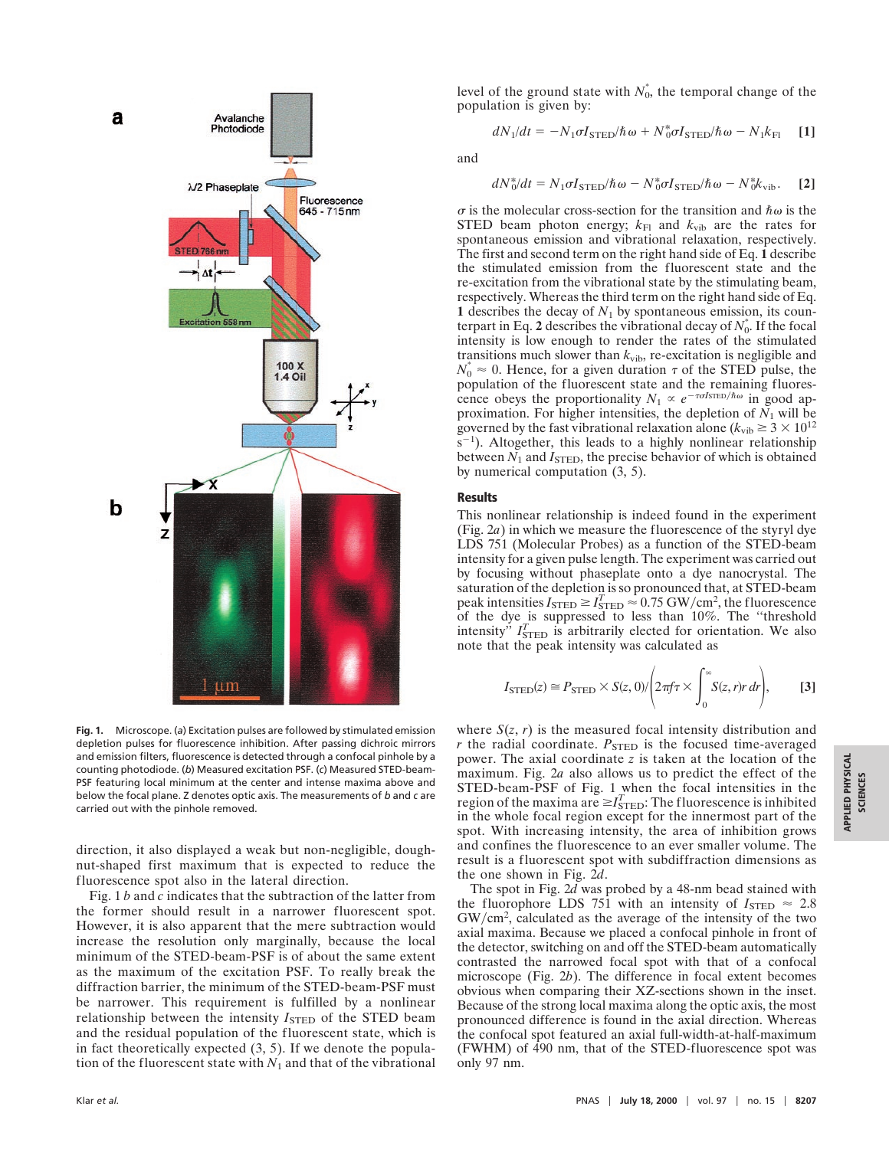

**Fig. 1.** Microscope. (*a*) Excitation pulses are followed by stimulated emission depletion pulses for fluorescence inhibition. After passing dichroic mirrors and emission filters, fluorescence is detected through a confocal pinhole by a counting photodiode. (*b*) Measured excitation PSF. (*c*) Measured STED-beam-PSF featuring local minimum at the center and intense maxima above and below the focal plane. Z denotes optic axis. The measurements of *b* and *c* are carried out with the pinhole removed.

direction, it also displayed a weak but non-negligible, doughnut-shaped first maximum that is expected to reduce the fluorescence spot also in the lateral direction.

Fig. 1 *b* and *c* indicates that the subtraction of the latter from the former should result in a narrower fluorescent spot. However, it is also apparent that the mere subtraction would increase the resolution only marginally, because the local minimum of the STED-beam-PSF is of about the same extent as the maximum of the excitation PSF. To really break the diffraction barrier, the minimum of the STED-beam-PSF must be narrower. This requirement is fulfilled by a nonlinear relationship between the intensity *I*<sub>STED</sub> of the STED beam and the residual population of the fluorescent state, which is in fact theoretically expected  $(3, 5)$ . If we denote the population of the fluorescent state with  $N_1$  and that of the vibrational

level of the ground state with  $N_0^*$ , the temporal change of the population is given by:

$$
dN_1/dt = -N_1 \sigma I_{\text{STED}}/\hbar \omega + N_0^* \sigma I_{\text{STED}}/\hbar \omega - N_1 k_{\text{FI}} \quad [1]
$$

and

$$
dN_0^* / dt = N_1 \sigma I_{\text{STED}} / \hbar \omega - N_0^* \sigma I_{\text{STED}} / \hbar \omega - N_0^* k_{\text{vib}}.
$$
 [2]

 $\sigma$  is the molecular cross-section for the transition and  $\hbar \omega$  is the STED beam photon energy;  $k_{\text{Fl}}$  and  $k_{\text{vib}}$  are the rates for spontaneous emission and vibrational relaxation, respectively. The first and second term on the right hand side of Eq. **1** describe the stimulated emission from the fluorescent state and the re-excitation from the vibrational state by the stimulating beam, respectively. Whereas the third term on the right hand side of Eq. **1** describes the decay of  $N_1$  by spontaneous emission, its counterpart in Eq. 2 describes the vibrational decay of  $N_0^*$ . If the focal intensity is low enough to render the rates of the stimulated transitions much slower than  $k_{vib}$ , re-excitation is negligible and  $N_0^* \approx 0$ . Hence, for a given duration  $\tau$  of the STED pulse, the population of the fluorescent state and the remaining fluorescence obeys the proportionality  $N_1 \propto e^{-\tau \sigma / \text{STED}/\hbar \omega}$  in good approximation. For higher intensities, the depletion of  $N_1$  will be governed by the fast vibrational relaxation alone ( $k_{\text{vib}} \geq 3 \times 10^{12}$ )  $s^{-1}$ ). Altogether, this leads to a highly nonlinear relationship between  $N_1$  and  $I_{\text{STED}}$ , the precise behavior of which is obtained by numerical computation (3, 5).

## **Results**

This nonlinear relationship is indeed found in the experiment (Fig. 2*a*) in which we measure the fluorescence of the styryl dye LDS 751 (Molecular Probes) as a function of the STED-beam intensity for a given pulse length. The experiment was carried out by focusing without phaseplate onto a dye nanocrystal. The saturation of the depletion is so pronounced that, at STED-beam peak intensities  $I_{\text{STED}} \ge I_{\text{STED}}^T \approx 0.75 \text{ GW/cm}^2$ , the fluorescence of the dye is suppressed to less than 10%. The "threshold" intensity<sup>"</sup>  $I<sub>STED</sub><sup>T</sup>$  is arbitrarily elected for orientation. We also note that the peak intensity was calculated as

$$
I_{\text{STED}}(z) \cong P_{\text{STED}} \times S(z,0) / \left(2\pi f \tau \times \int_0^\infty S(z,r) r \, dr\right),\tag{3}
$$

where  $S(z, r)$  is the measured focal intensity distribution and  $r$  the radial coordinate.  $P_{\text{STED}}$  is the focused time-averaged power. The axial coordinate *z* is taken at the location of the maximum. Fig. 2*a* also allows us to predict the effect of the STED-beam-PSF of Fig. 1 when the focal intensities in the region of the maxima are  $\geq I_{\text{STED}}^T$ : The fluorescence is inhibited in the whole focal region except for the innermost part of the spot. With increasing intensity, the area of inhibition grows and confines the fluorescence to an ever smaller volume. The result is a fluorescent spot with subdiffraction dimensions as the one shown in Fig. 2*d*.

The spot in Fig. 2*d* was probed by a 48-nm bead stained with the fluorophore LDS 751 with an intensity of  $I_{\text{STED}} \approx 2.8$  $GW/cm<sup>2</sup>$ , calculated as the average of the intensity of the two axial maxima. Because we placed a confocal pinhole in front of the detector, switching on and off the STED-beam automatically contrasted the narrowed focal spot with that of a confocal microscope (Fig. 2*b*). The difference in focal extent becomes obvious when comparing their XZ-sections shown in the inset. Because of the strong local maxima along the optic axis, the most pronounced difference is found in the axial direction. Whereas the confocal spot featured an axial full-width-at-half-maximum (FWHM) of 490 nm, that of the STED-fluorescence spot was only 97 nm.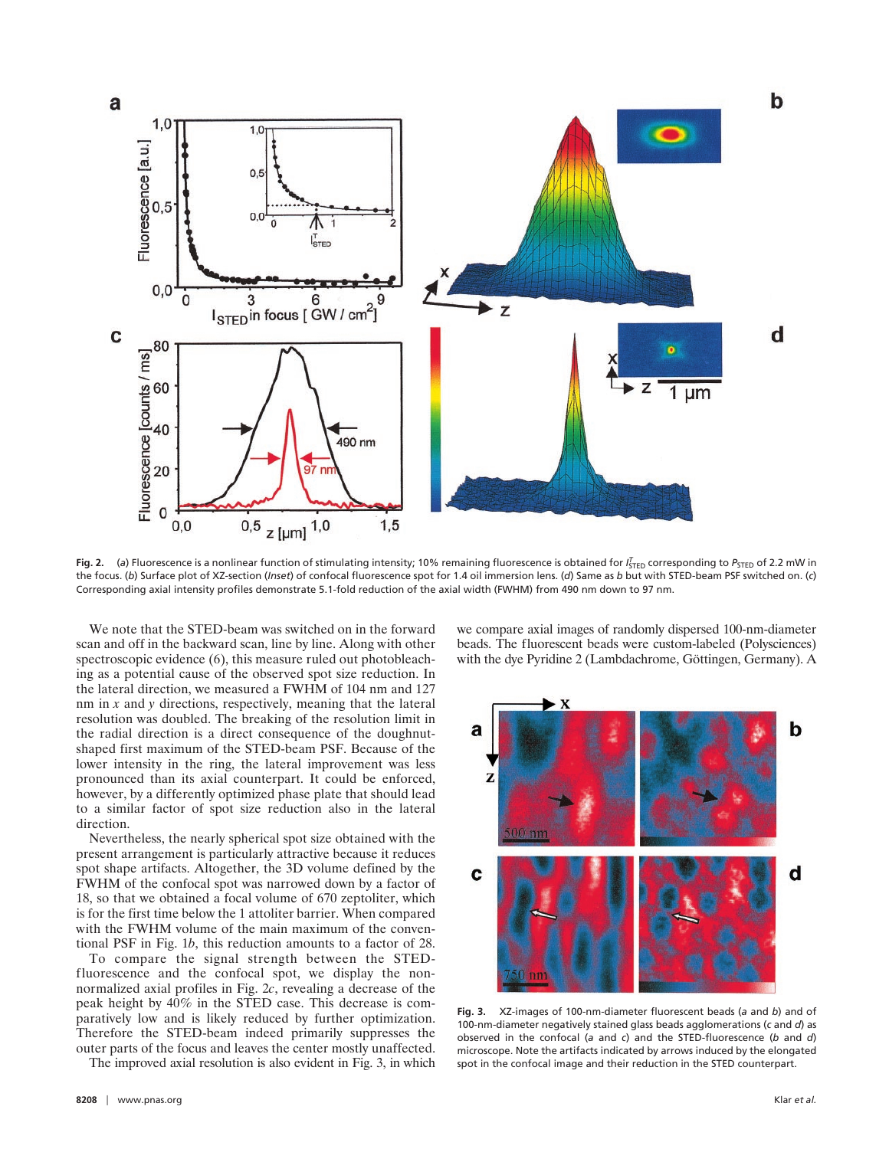

Fig. 2. (a) Fluorescence is a nonlinear function of stimulating intensity; 10% remaining fluorescence is obtained for *I*<sub>STED</sub> corresponding to *P<sub>STED</sub>* of 2.2 mW in the focus. (*b*) Surface plot of XZ-section (*Inset*) of confocal fluorescence spot for 1.4 oil immersion lens. (*d*) Same as *b* but with STED-beam PSF switched on. (*c*) Corresponding axial intensity profiles demonstrate 5.1-fold reduction of the axial width (FWHM) from 490 nm down to 97 nm.

We note that the STED-beam was switched on in the forward scan and off in the backward scan, line by line. Along with other spectroscopic evidence (6), this measure ruled out photobleaching as a potential cause of the observed spot size reduction. In the lateral direction, we measured a FWHM of 104 nm and 127 nm in *x* and *y* directions, respectively, meaning that the lateral resolution was doubled. The breaking of the resolution limit in the radial direction is a direct consequence of the doughnutshaped first maximum of the STED-beam PSF. Because of the lower intensity in the ring, the lateral improvement was less pronounced than its axial counterpart. It could be enforced, however, by a differently optimized phase plate that should lead to a similar factor of spot size reduction also in the lateral direction.

Nevertheless, the nearly spherical spot size obtained with the present arrangement is particularly attractive because it reduces spot shape artifacts. Altogether, the 3D volume defined by the FWHM of the confocal spot was narrowed down by a factor of 18, so that we obtained a focal volume of 670 zeptoliter, which is for the first time below the 1 attoliter barrier. When compared with the FWHM volume of the main maximum of the conventional PSF in Fig. 1*b*, this reduction amounts to a factor of 28.

To compare the signal strength between the STEDfluorescence and the confocal spot, we display the nonnormalized axial profiles in Fig. 2*c*, revealing a decrease of the peak height by 40% in the STED case. This decrease is comparatively low and is likely reduced by further optimization. Therefore the STED-beam indeed primarily suppresses the outer parts of the focus and leaves the center mostly unaffected.

The improved axial resolution is also evident in Fig. 3, in which

we compare axial images of randomly dispersed 100-nm-diameter beads. The fluorescent beads were custom-labeled (Polysciences) with the dye Pyridine 2 (Lambdachrome, Göttingen, Germany). A



**Fig. 3.** XZ-images of 100-nm-diameter fluorescent beads (*a* and *b*) and of 100-nm-diameter negatively stained glass beads agglomerations (*c* and *d*) as observed in the confocal (*a* and *c*) and the STED-fluorescence (*b* and *d*) microscope. Note the artifacts indicated by arrows induced by the elongated spot in the confocal image and their reduction in the STED counterpart.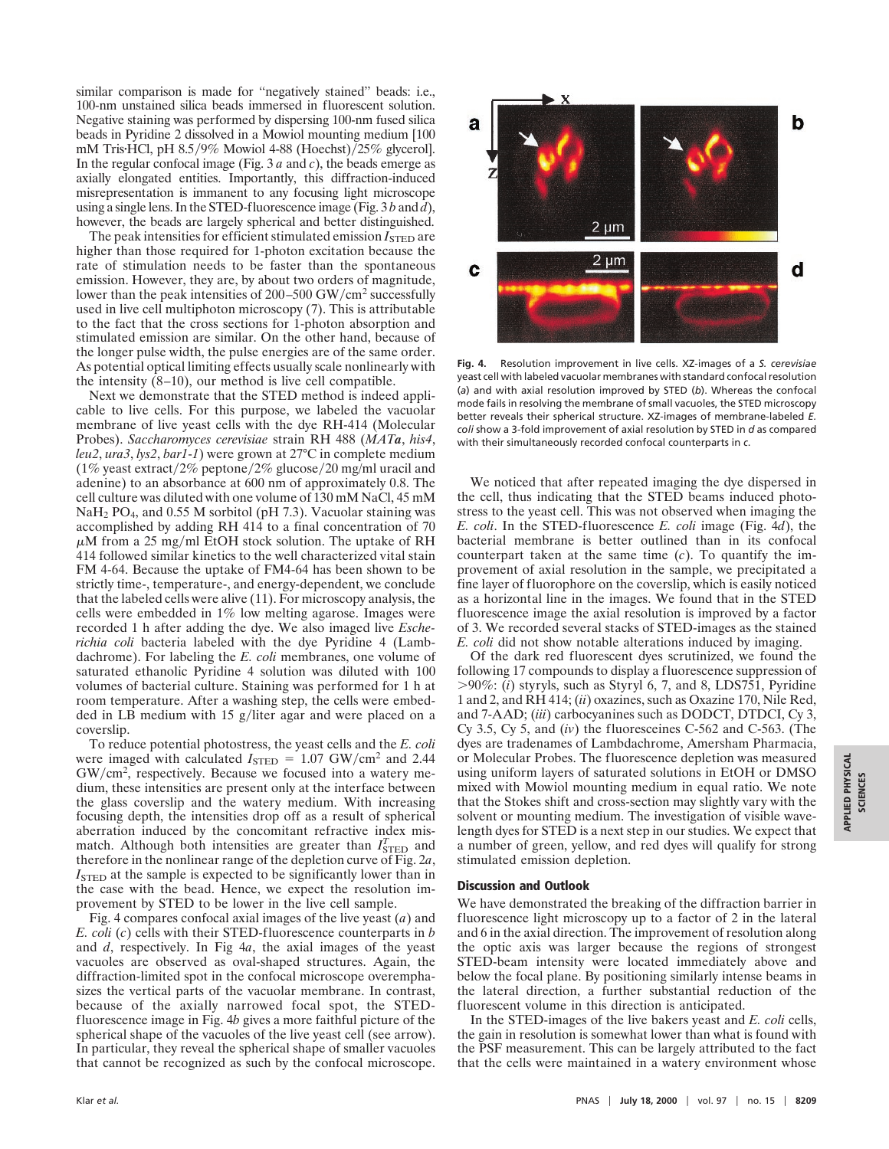similar comparison is made for ''negatively stained'' beads: i.e., 100-nm unstained silica beads immersed in fluorescent solution. Negative staining was performed by dispersing 100-nm fused silica beads in Pyridine 2 dissolved in a Mowiol mounting medium [100 mM Tris $HCl$ , pH 8.5/9% Mowiol 4-88 (Hoechst)/25% glycerol]. In the regular confocal image (Fig. 3 *a* and *c*), the beads emerge as axially elongated entities. Importantly, this diffraction-induced misrepresentation is immanent to any focusing light microscope using a single lens. In the STED-fluorescence image (Fig. 3 *b* and *d*), however, the beads are largely spherical and better distinguished.

The peak intensities for efficient stimulated emission *I*<sub>STED</sub> are higher than those required for 1-photon excitation because the rate of stimulation needs to be faster than the spontaneous emission. However, they are, by about two orders of magnitude, lower than the peak intensities of  $200-500$  GW/cm<sup>2</sup> successfully used in live cell multiphoton microscopy (7). This is attributable to the fact that the cross sections for 1-photon absorption and stimulated emission are similar. On the other hand, because of the longer pulse width, the pulse energies are of the same order. As potential optical limiting effects usually scale nonlinearly with the intensity (8–10), our method is live cell compatible.

Next we demonstrate that the STED method is indeed applicable to live cells. For this purpose, we labeled the vacuolar membrane of live yeast cells with the dye RH-414 (Molecular Probes). *Saccharomyces cerevisiae* strain RH 488 (*MATa*, *his4*, *leu2*, *ura3*, *lys2*, *bar1*-*1*) were grown at 27°C in complete medium (1% yeast extract/2% peptone/2% glucose/20 mg/ml uracil and adenine) to an absorbance at 600 nm of approximately 0.8. The cell culture was diluted with one volume of 130 mM NaCl, 45 mM NaH<sub>2</sub> PO<sub>4</sub>, and 0.55 M sorbitol (pH 7.3). Vacuolar staining was accomplished by adding RH 414 to a final concentration of 70  $\mu$ M from a 25 mg/ml EtOH stock solution. The uptake of RH 414 followed similar kinetics to the well characterized vital stain FM 4-64. Because the uptake of FM4-64 has been shown to be strictly time-, temperature-, and energy-dependent, we conclude that the labeled cells were alive (11). For microscopy analysis, the cells were embedded in 1% low melting agarose. Images were recorded 1 h after adding the dye. We also imaged live *Escherichia coli* bacteria labeled with the dye Pyridine 4 (Lambdachrome). For labeling the *E. coli* membranes, one volume of saturated ethanolic Pyridine 4 solution was diluted with 100 volumes of bacterial culture. Staining was performed for 1 h at room temperature. After a washing step, the cells were embedded in LB medium with  $15$  g/liter agar and were placed on a coverslip.

To reduce potential photostress, the yeast cells and the *E. coli* were imaged with calculated  $I_{\text{STED}} = 1.07 \text{ GW/cm}^2$  and 2.44  $GW/cm<sup>2</sup>$ , respectively. Because we focused into a watery medium, these intensities are present only at the interface between the glass coverslip and the watery medium. With increasing focusing depth, the intensities drop off as a result of spherical aberration induced by the concomitant refractive index mismatch. Although both intensities are greater than  $I<sub>STED</sub><sup>T</sup>$  and therefore in the nonlinear range of the depletion curve of Fig. 2*a*, *I*<sub>STED</sub> at the sample is expected to be significantly lower than in the case with the bead. Hence, we expect the resolution improvement by STED to be lower in the live cell sample.

Fig. 4 compares confocal axial images of the live yeast (*a*) and *E. coli* (*c*) cells with their STED-fluorescence counterparts in *b* and *d*, respectively. In Fig 4*a*, the axial images of the yeast vacuoles are observed as oval-shaped structures. Again, the diffraction-limited spot in the confocal microscope overemphasizes the vertical parts of the vacuolar membrane. In contrast, because of the axially narrowed focal spot, the STEDfluorescence image in Fig. 4*b* gives a more faithful picture of the spherical shape of the vacuoles of the live yeast cell (see arrow). In particular, they reveal the spherical shape of smaller vacuoles that cannot be recognized as such by the confocal microscope.



**Fig. 4.** Resolution improvement in live cells. XZ-images of a *S. cerevisiae* yeast cell with labeled vacuolar membranes with standard confocal resolution (*a*) and with axial resolution improved by STED (*b*). Whereas the confocal mode fails in resolving the membrane of small vacuoles, the STED microscopy better reveals their spherical structure. XZ-images of membrane-labeled *E. coli* show a 3-fold improvement of axial resolution by STED in *d* as compared with their simultaneously recorded confocal counterparts in *c*.

We noticed that after repeated imaging the dye dispersed in the cell, thus indicating that the STED beams induced photostress to the yeast cell. This was not observed when imaging the *E. coli*. In the STED-fluorescence *E. coli* image (Fig. 4*d*), the bacterial membrane is better outlined than in its confocal counterpart taken at the same time (*c*). To quantify the improvement of axial resolution in the sample, we precipitated a fine layer of fluorophore on the coverslip, which is easily noticed as a horizontal line in the images. We found that in the STED fluorescence image the axial resolution is improved by a factor of 3. We recorded several stacks of STED-images as the stained *E. coli* did not show notable alterations induced by imaging.

Of the dark red fluorescent dyes scrutinized, we found the following 17 compounds to display a fluorescence suppression of  $>90\%$ : (*i*) styryls, such as Styryl 6, 7, and 8, LDS751, Pyridine 1 and 2, and RH 414; (*ii*) oxazines, such as Oxazine 170, Nile Red, and 7-AAD; (*iii*) carbocyanines such as DODCT, DTDCI, Cy 3, Cy 3.5, Cy 5, and (*iv*) the fluoresceines C-562 and C-563. (The dyes are tradenames of Lambdachrome, Amersham Pharmacia, or Molecular Probes. The fluorescence depletion was measured using uniform layers of saturated solutions in EtOH or DMSO mixed with Mowiol mounting medium in equal ratio. We note that the Stokes shift and cross-section may slightly vary with the solvent or mounting medium. The investigation of visible wavelength dyes for STED is a next step in our studies. We expect that a number of green, yellow, and red dyes will qualify for strong stimulated emission depletion.

## **Discussion and Outlook**

We have demonstrated the breaking of the diffraction barrier in fluorescence light microscopy up to a factor of 2 in the lateral and 6 in the axial direction. The improvement of resolution along the optic axis was larger because the regions of strongest STED-beam intensity were located immediately above and below the focal plane. By positioning similarly intense beams in the lateral direction, a further substantial reduction of the fluorescent volume in this direction is anticipated.

In the STED-images of the live bakers yeast and *E. coli* cells, the gain in resolution is somewhat lower than what is found with the PSF measurement. This can be largely attributed to the fact that the cells were maintained in a watery environment whose